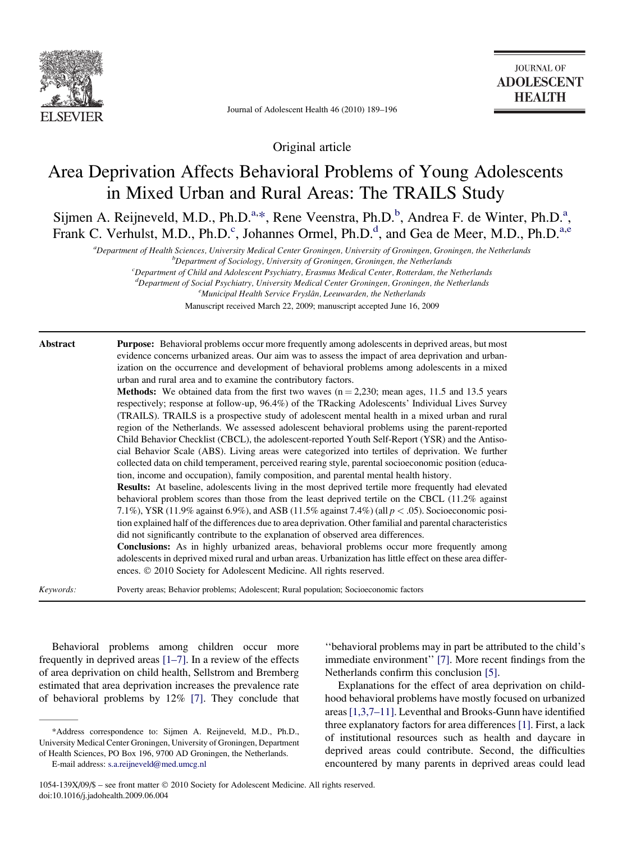

Journal of Adolescent Health 46 (2010) 189–196

**JOURNAL OF ADOLESCENT HEALTH** 

Original article

# Area Deprivation Affects Behavioral Problems of Young Adolescents in Mixed Urban and Rural Areas: The TRAILS Study

Sijmen A. Reijneveld, M.D., Ph.D.<sup>a,\*</sup>, Rene Veenstra, Ph.D.<sup>b</sup>, Andrea F. de Winter, Ph.D.<sup>a</sup>, Frank C. Verhulst, M.D., Ph.D.<sup>c</sup>, Johannes Ormel, Ph.D.<sup>d</sup>, and Gea de Meer, M.D., Ph.D.<sup>a,e</sup>

<sup>a</sup>Department of Health Sciences, University Medical Center Groningen, University of Groningen, Groningen, the Netherlands<br><sup>b</sup>Department of Sociology University of Groningen, Groningen, the Netherlands

 $b$ Department of Sociology, University of Groningen, Groningen, the Netherlands

 $c$ Department of Child and Adolescent Psychiatry, Erasmus Medical Center, Rotterdam, the Netherlands

<sup>d</sup>Department of Social Psychiatry, University Medical Center Groningen, Groningen, the Netherlands

<sup>e</sup> Municipal Health Service Fryslân, Leeuwarden, the Netherlands

Manuscript received March 22, 2009; manuscript accepted June 16, 2009

Abstract Purpose: Behavioral problems occur more frequently among adolescents in deprived areas, but most evidence concerns urbanized areas. Our aim was to assess the impact of area deprivation and urbanization on the occurrence and development of behavioral problems among adolescents in a mixed urban and rural area and to examine the contributory factors.

> **Methods:** We obtained data from the first two waves  $(n = 2,230)$ ; mean ages, 11.5 and 13.5 years respectively; response at follow-up, 96.4%) of the TRacking Adolescents' Individual Lives Survey (TRAILS). TRAILS is a prospective study of adolescent mental health in a mixed urban and rural region of the Netherlands. We assessed adolescent behavioral problems using the parent-reported Child Behavior Checklist (CBCL), the adolescent-reported Youth Self-Report (YSR) and the Antisocial Behavior Scale (ABS). Living areas were categorized into tertiles of deprivation. We further collected data on child temperament, perceived rearing style, parental socioeconomic position (education, income and occupation), family composition, and parental mental health history.

> Results: At baseline, adolescents living in the most deprived tertile more frequently had elevated behavioral problem scores than those from the least deprived tertile on the CBCL (11.2% against 7.1%), YSR (11.9% against 6.9%), and ASB (11.5% against 7.4%) (all  $p < .05$ ). Socioeconomic position explained half of the differences due to area deprivation. Other familial and parental characteristics did not significantly contribute to the explanation of observed area differences.

> Conclusions: As in highly urbanized areas, behavioral problems occur more frequently among adolescents in deprived mixed rural and urban areas. Urbanization has little effect on these area differences. © 2010 Society for Adolescent Medicine. All rights reserved.

Keywords: Poverty areas; Behavior problems; Adolescent; Rural population; Socioeconomic factors

Behavioral problems among children occur more frequently in deprived areas [\[1–7\].](#page-6-0) In a review of the effects of area deprivation on child health, Sellstrom and Bremberg estimated that area deprivation increases the prevalence rate of behavioral problems by 12% [\[7\].](#page-6-0) They conclude that

''behavioral problems may in part be attributed to the child's immediate environment'' [\[7\]](#page-6-0). More recent findings from the Netherlands confirm this conclusion [\[5\]](#page-6-0).

Explanations for the effect of area deprivation on childhood behavioral problems have mostly focused on urbanized areas[\[1,3,7–11\]](#page-6-0). Leventhal and Brooks-Gunn have identified three explanatory factors for area differences [\[1\].](#page-6-0) First, a lack of institutional resources such as health and daycare in deprived areas could contribute. Second, the difficulties encountered by many parents in deprived areas could lead

<sup>\*</sup>Address correspondence to: Sijmen A. Reijneveld, M.D., Ph.D., University Medical Center Groningen, University of Groningen, Department of Health Sciences, PO Box 196, 9700 AD Groningen, the Netherlands.

E-mail address: [s.a.reijneveld@med.umcg.nl](mailto:s.a.reijneveld@med.umcg.nl)

<sup>1054-139</sup>X/09/\$ - see front matter  $\odot$  2010 Society for Adolescent Medicine. All rights reserved. doi:10.1016/j.jadohealth.2009.06.004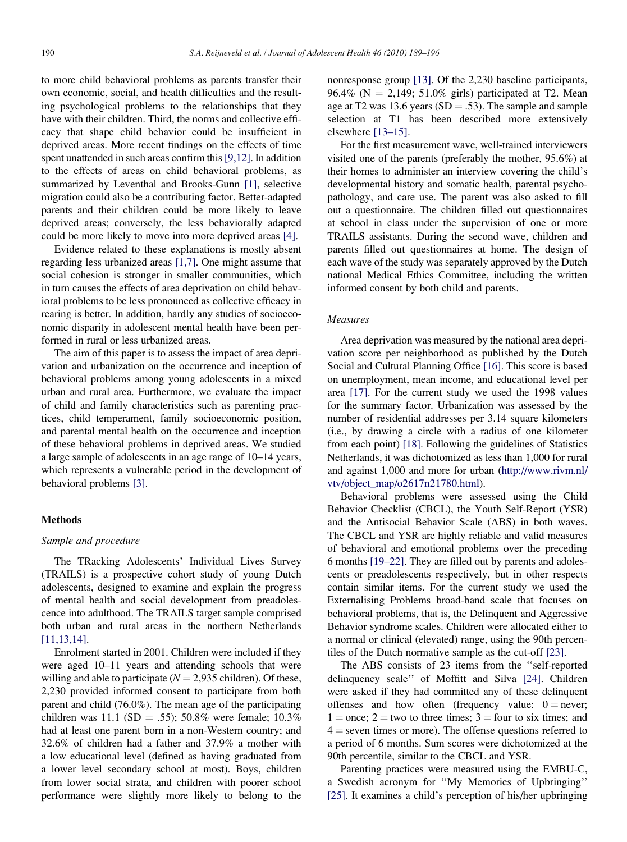to more child behavioral problems as parents transfer their own economic, social, and health difficulties and the resulting psychological problems to the relationships that they have with their children. Third, the norms and collective efficacy that shape child behavior could be insufficient in deprived areas. More recent findings on the effects of time spent unattended in such areas confirm this[\[9,12\]](#page-6-0). In addition to the effects of areas on child behavioral problems, as summarized by Leventhal and Brooks-Gunn [\[1\]](#page-6-0), selective migration could also be a contributing factor. Better-adapted parents and their children could be more likely to leave deprived areas; conversely, the less behaviorally adapted could be more likely to move into more deprived areas [\[4\].](#page-6-0)

Evidence related to these explanations is mostly absent regarding less urbanized areas [\[1,7\].](#page-6-0) One might assume that social cohesion is stronger in smaller communities, which in turn causes the effects of area deprivation on child behavioral problems to be less pronounced as collective efficacy in rearing is better. In addition, hardly any studies of socioeconomic disparity in adolescent mental health have been performed in rural or less urbanized areas.

The aim of this paper is to assess the impact of area deprivation and urbanization on the occurrence and inception of behavioral problems among young adolescents in a mixed urban and rural area. Furthermore, we evaluate the impact of child and family characteristics such as parenting practices, child temperament, family socioeconomic position, and parental mental health on the occurrence and inception of these behavioral problems in deprived areas. We studied a large sample of adolescents in an age range of 10–14 years, which represents a vulnerable period in the development of behavioral problems [\[3\].](#page-6-0)

## Methods

### Sample and procedure

The TRacking Adolescents' Individual Lives Survey (TRAILS) is a prospective cohort study of young Dutch adolescents, designed to examine and explain the progress of mental health and social development from preadolescence into adulthood. The TRAILS target sample comprised both urban and rural areas in the northern Netherlands [\[11,13,14\]](#page-6-0).

Enrolment started in 2001. Children were included if they were aged 10–11 years and attending schools that were willing and able to participate ( $N = 2.935$  children). Of these, 2,230 provided informed consent to participate from both parent and child (76.0%). The mean age of the participating children was 11.1 (SD = .55); 50.8% were female;  $10.3\%$ had at least one parent born in a non-Western country; and 32.6% of children had a father and 37.9% a mother with a low educational level (defined as having graduated from a lower level secondary school at most). Boys, children from lower social strata, and children with poorer school performance were slightly more likely to belong to the nonresponse group [\[13\]](#page-6-0). Of the 2,230 baseline participants, 96.4% (N = 2,149; 51.0% girls) participated at T2. Mean age at T2 was 13.6 years  $(SD = .53)$ . The sample and sample selection at T1 has been described more extensively elsewhere [\[13–15\].](#page-6-0)

For the first measurement wave, well-trained interviewers visited one of the parents (preferably the mother, 95.6%) at their homes to administer an interview covering the child's developmental history and somatic health, parental psychopathology, and care use. The parent was also asked to fill out a questionnaire. The children filled out questionnaires at school in class under the supervision of one or more TRAILS assistants. During the second wave, children and parents filled out questionnaires at home. The design of each wave of the study was separately approved by the Dutch national Medical Ethics Committee, including the written informed consent by both child and parents.

#### Measures

Area deprivation was measured by the national area deprivation score per neighborhood as published by the Dutch Social and Cultural Planning Office [\[16\].](#page-7-0) This score is based on unemployment, mean income, and educational level per area [\[17\].](#page-7-0) For the current study we used the 1998 values for the summary factor. Urbanization was assessed by the number of residential addresses per 3.14 square kilometers (i.e., by drawing a circle with a radius of one kilometer from each point) [\[18\].](#page-7-0) Following the guidelines of Statistics Netherlands, it was dichotomized as less than 1,000 for rural and against 1,000 and more for urban [\(http://www.rivm.nl/](http://www.rivm.nl/vtv/object_map/o2617n21780.html) [vtv/object\\_map/o2617n21780.html\)](http://www.rivm.nl/vtv/object_map/o2617n21780.html).

Behavioral problems were assessed using the Child Behavior Checklist (CBCL), the Youth Self-Report (YSR) and the Antisocial Behavior Scale (ABS) in both waves. The CBCL and YSR are highly reliable and valid measures of behavioral and emotional problems over the preceding 6 months [\[19–22\].](#page-7-0) They are filled out by parents and adolescents or preadolescents respectively, but in other respects contain similar items. For the current study we used the Externalising Problems broad-band scale that focuses on behavioral problems, that is, the Delinquent and Aggressive Behavior syndrome scales. Children were allocated either to a normal or clinical (elevated) range, using the 90th percentiles of the Dutch normative sample as the cut-off [\[23\]](#page-7-0).

The ABS consists of 23 items from the ''self-reported delinquency scale'' of Moffitt and Silva [\[24\]](#page-7-0). Children were asked if they had committed any of these delinquent offenses and how often (frequency value:  $0 =$  never;  $1 =$  once; 2 = two to three times; 3 = four to six times; and  $4 =$  seven times or more). The offense questions referred to a period of 6 months. Sum scores were dichotomized at the 90th percentile, similar to the CBCL and YSR.

Parenting practices were measured using the EMBU-C, a Swedish acronym for ''My Memories of Upbringing'' [\[25\]](#page-7-0). It examines a child's perception of his/her upbringing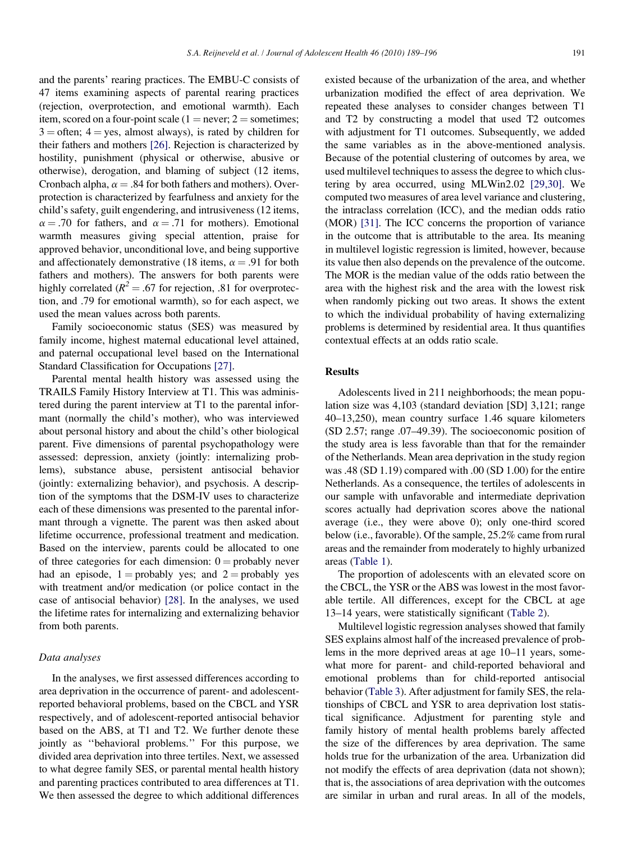and the parents' rearing practices. The EMBU-C consists of 47 items examining aspects of parental rearing practices (rejection, overprotection, and emotional warmth). Each item, scored on a four-point scale ( $1 =$  never;  $2 =$  sometimes;  $3 =$  often;  $4 =$  yes, almost always), is rated by children for their fathers and mothers [\[26\]](#page-7-0). Rejection is characterized by hostility, punishment (physical or otherwise, abusive or otherwise), derogation, and blaming of subject (12 items, Cronbach alpha,  $\alpha = .84$  for both fathers and mothers). Overprotection is characterized by fearfulness and anxiety for the child's safety, guilt engendering, and intrusiveness (12 items,  $\alpha = .70$  for fathers, and  $\alpha = .71$  for mothers). Emotional warmth measures giving special attention, praise for approved behavior, unconditional love, and being supportive and affectionately demonstrative (18 items,  $\alpha = .91$  for both fathers and mothers). The answers for both parents were highly correlated ( $R^2 = .67$  for rejection, .81 for overprotection, and .79 for emotional warmth), so for each aspect, we used the mean values across both parents.

Family socioeconomic status (SES) was measured by family income, highest maternal educational level attained, and paternal occupational level based on the International Standard Classification for Occupations [\[27\]](#page-7-0).

Parental mental health history was assessed using the TRAILS Family History Interview at T1. This was administered during the parent interview at T1 to the parental informant (normally the child's mother), who was interviewed about personal history and about the child's other biological parent. Five dimensions of parental psychopathology were assessed: depression, anxiety (jointly: internalizing problems), substance abuse, persistent antisocial behavior (jointly: externalizing behavior), and psychosis. A description of the symptoms that the DSM-IV uses to characterize each of these dimensions was presented to the parental informant through a vignette. The parent was then asked about lifetime occurrence, professional treatment and medication. Based on the interview, parents could be allocated to one of three categories for each dimension:  $0 =$  probably never had an episode,  $1 =$  probably yes; and  $2 =$  probably yes with treatment and/or medication (or police contact in the case of antisocial behavior) [\[28\].](#page-7-0) In the analyses, we used the lifetime rates for internalizing and externalizing behavior from both parents.

## Data analyses

In the analyses, we first assessed differences according to area deprivation in the occurrence of parent- and adolescentreported behavioral problems, based on the CBCL and YSR respectively, and of adolescent-reported antisocial behavior based on the ABS, at T1 and T2. We further denote these jointly as ''behavioral problems.'' For this purpose, we divided area deprivation into three tertiles. Next, we assessed to what degree family SES, or parental mental health history and parenting practices contributed to area differences at T1. We then assessed the degree to which additional differences existed because of the urbanization of the area, and whether urbanization modified the effect of area deprivation. We repeated these analyses to consider changes between T1 and T2 by constructing a model that used T2 outcomes with adjustment for T1 outcomes. Subsequently, we added the same variables as in the above-mentioned analysis. Because of the potential clustering of outcomes by area, we used multilevel techniques to assess the degree to which clustering by area occurred, using MLWin2.02 [\[29,30\].](#page-7-0) We computed two measures of area level variance and clustering, the intraclass correlation (ICC), and the median odds ratio (MOR) [\[31\].](#page-7-0) The ICC concerns the proportion of variance in the outcome that is attributable to the area. Its meaning in multilevel logistic regression is limited, however, because its value then also depends on the prevalence of the outcome. The MOR is the median value of the odds ratio between the area with the highest risk and the area with the lowest risk when randomly picking out two areas. It shows the extent to which the individual probability of having externalizing problems is determined by residential area. It thus quantifies contextual effects at an odds ratio scale.

## Results

Adolescents lived in 211 neighborhoods; the mean population size was 4,103 (standard deviation [SD] 3,121; range 40–13,250), mean country surface 1.46 square kilometers (SD 2.57; range .07–49.39). The socioeconomic position of the study area is less favorable than that for the remainder of the Netherlands. Mean area deprivation in the study region was .48 (SD 1.19) compared with .00 (SD 1.00) for the entire Netherlands. As a consequence, the tertiles of adolescents in our sample with unfavorable and intermediate deprivation scores actually had deprivation scores above the national average (i.e., they were above 0); only one-third scored below (i.e., favorable). Of the sample, 25.2% came from rural areas and the remainder from moderately to highly urbanized areas [\(Table 1](#page-3-0)).

The proportion of adolescents with an elevated score on the CBCL, the YSR or the ABS was lowest in the most favorable tertile. All differences, except for the CBCL at age 13–14 years, were statistically significant [\(Table 2\)](#page-3-0).

Multilevel logistic regression analyses showed that family SES explains almost half of the increased prevalence of problems in the more deprived areas at age 10–11 years, somewhat more for parent- and child-reported behavioral and emotional problems than for child-reported antisocial behavior ([Table 3](#page-4-0)). After adjustment for family SES, the relationships of CBCL and YSR to area deprivation lost statistical significance. Adjustment for parenting style and family history of mental health problems barely affected the size of the differences by area deprivation. The same holds true for the urbanization of the area. Urbanization did not modify the effects of area deprivation (data not shown); that is, the associations of area deprivation with the outcomes are similar in urban and rural areas. In all of the models,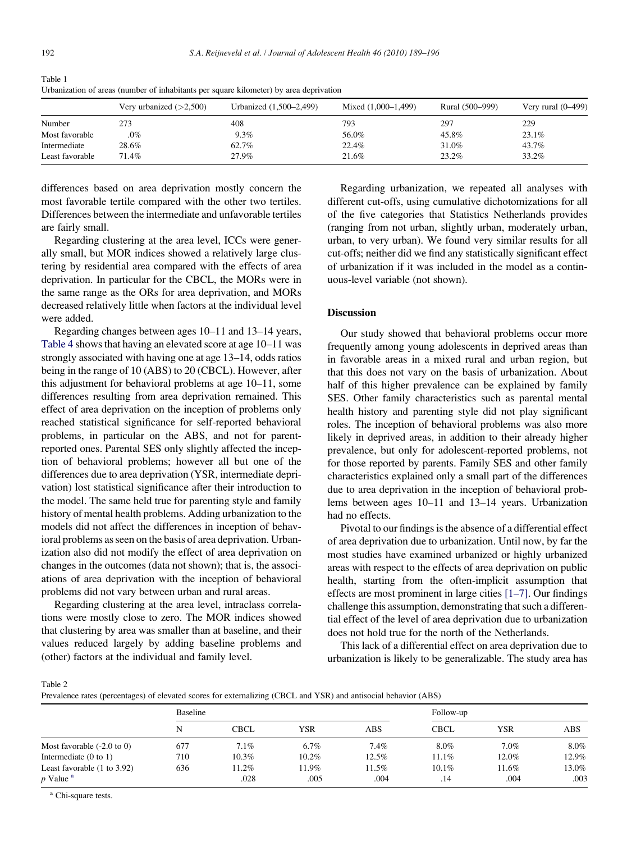<span id="page-3-0"></span>

| Table 1                                                                                |
|----------------------------------------------------------------------------------------|
| Urbanization of areas (number of inhabitants per square kilometer) by area deprivation |

|                 | Very urbanized $(>2,500)$ | Urbanized (1,500–2,499) | Mixed (1,000–1,499) | Rural (500–999) | Very rural $(0-499)$ |  |  |
|-----------------|---------------------------|-------------------------|---------------------|-----------------|----------------------|--|--|
| Number          | 273                       | 408                     | 793                 | 297             | 229                  |  |  |
| Most favorable  | .0%                       | $9.3\%$                 | 56.0%               | 45.8%           | 23.1%                |  |  |
| Intermediate    | 28.6%                     | 62.7%                   | 22.4%               | 31.0%           | 43.7%                |  |  |
| Least favorable | 71.4%                     | 27.9%                   | 21.6%               | 23.2%           | 33.2%                |  |  |

differences based on area deprivation mostly concern the most favorable tertile compared with the other two tertiles. Differences between the intermediate and unfavorable tertiles are fairly small.

Regarding clustering at the area level, ICCs were generally small, but MOR indices showed a relatively large clustering by residential area compared with the effects of area deprivation. In particular for the CBCL, the MORs were in the same range as the ORs for area deprivation, and MORs decreased relatively little when factors at the individual level were added.

Regarding changes between ages 10–11 and 13–14 years, [Table 4](#page-5-0) shows that having an elevated score at age 10–11 was strongly associated with having one at age 13–14, odds ratios being in the range of 10 (ABS) to 20 (CBCL). However, after this adjustment for behavioral problems at age 10–11, some differences resulting from area deprivation remained. This effect of area deprivation on the inception of problems only reached statistical significance for self-reported behavioral problems, in particular on the ABS, and not for parentreported ones. Parental SES only slightly affected the inception of behavioral problems; however all but one of the differences due to area deprivation (YSR, intermediate deprivation) lost statistical significance after their introduction to the model. The same held true for parenting style and family history of mental health problems. Adding urbanization to the models did not affect the differences in inception of behavioral problems as seen on the basis of area deprivation. Urbanization also did not modify the effect of area deprivation on changes in the outcomes (data not shown); that is, the associations of area deprivation with the inception of behavioral problems did not vary between urban and rural areas.

Regarding clustering at the area level, intraclass correlations were mostly close to zero. The MOR indices showed that clustering by area was smaller than at baseline, and their values reduced largely by adding baseline problems and (other) factors at the individual and family level.

Regarding urbanization, we repeated all analyses with different cut-offs, using cumulative dichotomizations for all of the five categories that Statistics Netherlands provides (ranging from not urban, slightly urban, moderately urban, urban, to very urban). We found very similar results for all cut-offs; neither did we find any statistically significant effect of urbanization if it was included in the model as a continuous-level variable (not shown).

## **Discussion**

Our study showed that behavioral problems occur more frequently among young adolescents in deprived areas than in favorable areas in a mixed rural and urban region, but that this does not vary on the basis of urbanization. About half of this higher prevalence can be explained by family SES. Other family characteristics such as parental mental health history and parenting style did not play significant roles. The inception of behavioral problems was also more likely in deprived areas, in addition to their already higher prevalence, but only for adolescent-reported problems, not for those reported by parents. Family SES and other family characteristics explained only a small part of the differences due to area deprivation in the inception of behavioral problems between ages 10–11 and 13–14 years. Urbanization had no effects.

Pivotal to our findings is the absence of a differential effect of area deprivation due to urbanization. Until now, by far the most studies have examined urbanized or highly urbanized areas with respect to the effects of area deprivation on public health, starting from the often-implicit assumption that effects are most prominent in large cities [\[1–7\]](#page-6-0). Our findings challenge this assumption, demonstrating that such a differential effect of the level of area deprivation due to urbanization does not hold true for the north of the Netherlands.

This lack of a differential effect on area deprivation due to urbanization is likely to be generalizable. The study area has

Table 2

Prevalence rates (percentages) of elevated scores for externalizing (CBCL and YSR) and antisocial behavior (ABS)

|                                        | Baseline |          |          |       | Follow-up   |         |       |
|----------------------------------------|----------|----------|----------|-------|-------------|---------|-------|
|                                        | N        | CBCL     | YSR      | ABS   | <b>CBCL</b> | YSR     | ABS   |
| Most favorable $(-2.0 \text{ to } 0)$  | 677      | $7.1\%$  | $6.7\%$  | 7.4%  | 8.0%        | $7.0\%$ | 8.0%  |
| Intermediate $(0 \text{ to } 1)$       | 710      | $10.3\%$ | $10.2\%$ | 12.5% | 11.1%       | 12.0%   | 12.9% |
| Least favorable $(1 \text{ to } 3.92)$ | 636      | 11.2%    | 11.9%    | 11.5% | $10.1\%$    | 11.6%   | 13.0% |
| $p$ Value <sup>a</sup>                 |          | .028     | .005     | .004  | .14         | .004    | .003  |

<sup>a</sup> Chi-square tests.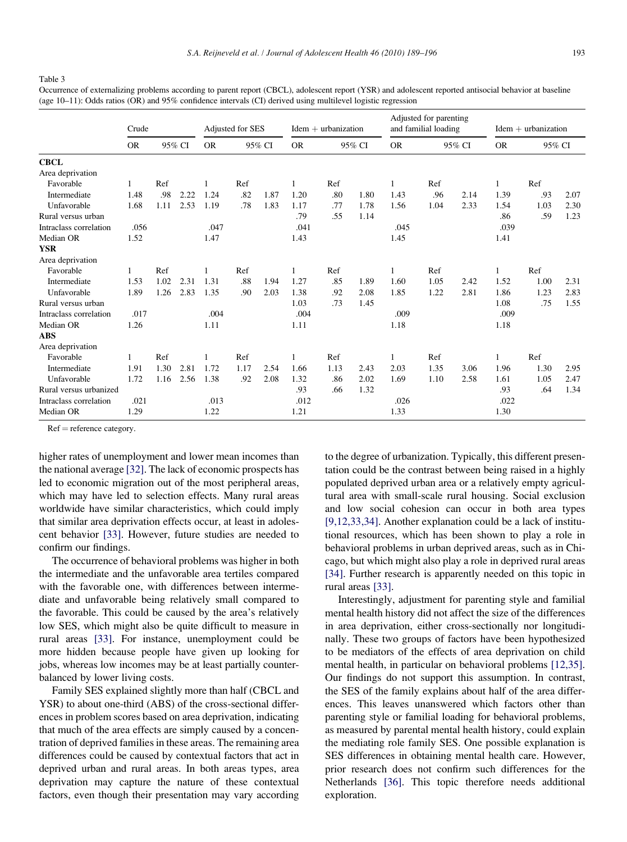<span id="page-4-0"></span>Table 3

|                        | Crude        |      |        | Adjusted for SES |      |        |           | $Idem + urbanization$ |      |           | Adjusted for parenting<br>and familial loading |        | $Idem + urbanization$ |        |      |  |
|------------------------|--------------|------|--------|------------------|------|--------|-----------|-----------------------|------|-----------|------------------------------------------------|--------|-----------------------|--------|------|--|
|                        | <b>OR</b>    |      | 95% CI | <b>OR</b>        |      | 95% CI | <b>OR</b> | 95% CI                |      | <b>OR</b> |                                                | 95% CI | <b>OR</b>             | 95% CI |      |  |
| <b>CBCL</b>            |              |      |        |                  |      |        |           |                       |      |           |                                                |        |                       |        |      |  |
| Area deprivation       |              |      |        |                  |      |        |           |                       |      |           |                                                |        |                       |        |      |  |
| Favorable              | 1            | Ref  |        |                  | Ref  |        |           | Ref                   |      | 1         | Ref                                            |        | 1                     | Ref    |      |  |
| Intermediate           | 1.48         | .98  | 2.22   | 1.24             | .82  | 1.87   | 1.20      | .80                   | 1.80 | 1.43      | .96                                            | 2.14   | 1.39                  | .93    | 2.07 |  |
| Unfavorable            | 1.68         | 1.11 | 2.53   | 1.19             | .78  | 1.83   | 1.17      | .77                   | 1.78 | 1.56      | 1.04                                           | 2.33   | 1.54                  | 1.03   | 2.30 |  |
| Rural versus urban     |              |      |        |                  |      |        | .79       | .55                   | 1.14 |           |                                                |        | .86                   | .59    | 1.23 |  |
| Intraclass correlation | .056         |      |        | .047             |      |        | .041      |                       |      | .045      |                                                |        | .039                  |        |      |  |
| Median OR              | 1.52         |      |        | 1.47             |      |        | 1.43      |                       |      | 1.45      |                                                |        | 1.41                  |        |      |  |
| <b>YSR</b>             |              |      |        |                  |      |        |           |                       |      |           |                                                |        |                       |        |      |  |
| Area deprivation       |              |      |        |                  |      |        |           |                       |      |           |                                                |        |                       |        |      |  |
| Favorable              |              | Ref  |        |                  | Ref  |        |           | Ref                   |      |           | Ref                                            |        |                       | Ref    |      |  |
| Intermediate           | 1.53         | 1.02 | 2.31   | 1.31             | .88  | 1.94   | 1.27      | .85                   | 1.89 | 1.60      | 1.05                                           | 2.42   | 1.52                  | 1.00   | 2.31 |  |
| Unfavorable            | 1.89         | 1.26 | 2.83   | 1.35             | .90  | 2.03   | 1.38      | .92                   | 2.08 | 1.85      | 1.22                                           | 2.81   | 1.86                  | 1.23   | 2.83 |  |
| Rural versus urban     |              |      |        |                  |      |        | 1.03      | .73                   | 1.45 |           |                                                |        | 1.08                  | .75    | 1.55 |  |
| Intraclass correlation | .017         |      |        | .004             |      |        | .004      |                       |      | .009      |                                                |        | .009                  |        |      |  |
| Median OR              | 1.26         |      |        | 1.11             |      |        | 1.11      |                       |      | 1.18      |                                                |        | 1.18                  |        |      |  |
| <b>ABS</b>             |              |      |        |                  |      |        |           |                       |      |           |                                                |        |                       |        |      |  |
| Area deprivation       |              |      |        |                  |      |        |           |                       |      |           |                                                |        |                       |        |      |  |
| Favorable              | $\mathbf{1}$ | Ref  |        |                  | Ref  |        |           | Ref                   |      | 1         | Ref                                            |        | 1                     | Ref    |      |  |
| Intermediate           | 1.91         | 1.30 | 2.81   | 1.72             | 1.17 | 2.54   | 1.66      | 1.13                  | 2.43 | 2.03      | 1.35                                           | 3.06   | 1.96                  | 1.30   | 2.95 |  |
| Unfavorable            | 1.72         | 1.16 | 2.56   | 1.38             | .92  | 2.08   | 1.32      | .86                   | 2.02 | 1.69      | 1.10                                           | 2.58   | 1.61                  | 1.05   | 2.47 |  |
| Rural versus urbanized |              |      |        |                  |      |        | .93       | .66                   | 1.32 |           |                                                |        | .93                   | .64    | 1.34 |  |
| Intraclass correlation | .021         |      |        | .013             |      |        | .012      |                       |      | .026      |                                                |        | .022                  |        |      |  |
| Median OR              | 1.29         |      |        | 1.22             |      |        | 1.21      |                       |      | 1.33      |                                                |        | 1.30                  |        |      |  |

Occurrence of externalizing problems according to parent report (CBCL), adolescent report (YSR) and adolescent reported antisocial behavior at baseline (age 10–11): Odds ratios (OR) and 95% confidence intervals (CI) derived using multilevel logistic regression

 $Ref = reference category.$ 

higher rates of unemployment and lower mean incomes than the national average [\[32\]](#page-7-0). The lack of economic prospects has led to economic migration out of the most peripheral areas, which may have led to selection effects. Many rural areas worldwide have similar characteristics, which could imply that similar area deprivation effects occur, at least in adolescent behavior [\[33\]](#page-7-0). However, future studies are needed to confirm our findings.

The occurrence of behavioral problems was higher in both the intermediate and the unfavorable area tertiles compared with the favorable one, with differences between intermediate and unfavorable being relatively small compared to the favorable. This could be caused by the area's relatively low SES, which might also be quite difficult to measure in rural areas [\[33\]](#page-7-0). For instance, unemployment could be more hidden because people have given up looking for jobs, whereas low incomes may be at least partially counterbalanced by lower living costs.

Family SES explained slightly more than half (CBCL and YSR) to about one-third (ABS) of the cross-sectional differences in problem scores based on area deprivation, indicating that much of the area effects are simply caused by a concentration of deprived families in these areas. The remaining area differences could be caused by contextual factors that act in deprived urban and rural areas. In both areas types, area deprivation may capture the nature of these contextual factors, even though their presentation may vary according

to the degree of urbanization. Typically, this different presentation could be the contrast between being raised in a highly populated deprived urban area or a relatively empty agricultural area with small-scale rural housing. Social exclusion and low social cohesion can occur in both area types [\[9,12,33,34\].](#page-6-0) Another explanation could be a lack of institutional resources, which has been shown to play a role in behavioral problems in urban deprived areas, such as in Chicago, but which might also play a role in deprived rural areas [\[34\]](#page-7-0). Further research is apparently needed on this topic in rural areas [\[33\].](#page-7-0)

Interestingly, adjustment for parenting style and familial mental health history did not affect the size of the differences in area deprivation, either cross-sectionally nor longitudinally. These two groups of factors have been hypothesized to be mediators of the effects of area deprivation on child mental health, in particular on behavioral problems [\[12,35\]](#page-6-0). Our findings do not support this assumption. In contrast, the SES of the family explains about half of the area differences. This leaves unanswered which factors other than parenting style or familial loading for behavioral problems, as measured by parental mental health history, could explain the mediating role family SES. One possible explanation is SES differences in obtaining mental health care. However, prior research does not confirm such differences for the Netherlands [\[36\]](#page-7-0). This topic therefore needs additional exploration.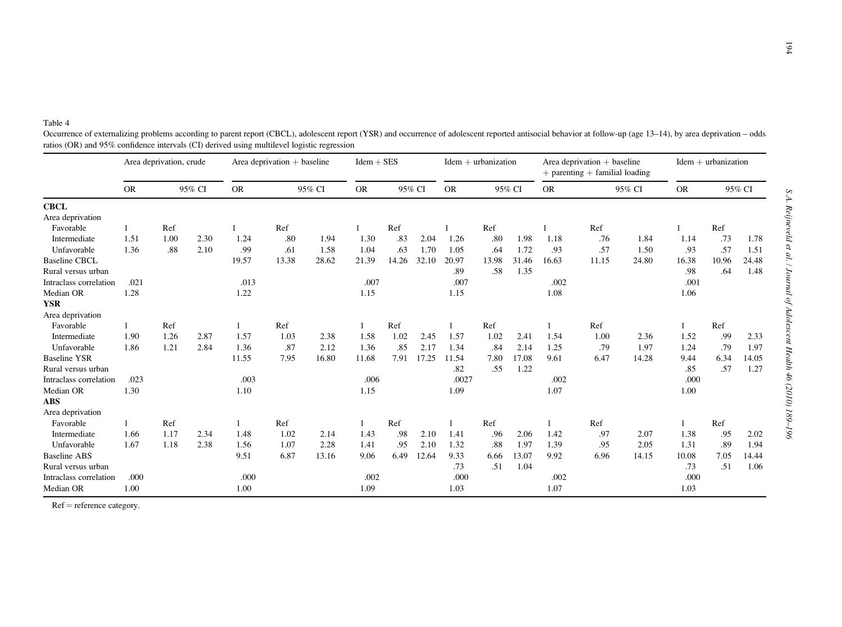<span id="page-5-0"></span>Table 4

Occurrence of externalizing problems according to parent report (CBCL), adolescent report (YSR) and occurrence of adolescent reported antisocial behavior at follow-up (age 13-14), by area deprivation - odds ratios (OR) and 95% confidence intervals (CI) derived using multilevel logistic regression

|                        | Area deprivation, crude |      |        | Area deprivation $+$ baseline |       |        | $Idem + SES$ |        |       | $Idem + urbanization$ |       |        | Area deprivation $+$ baseline<br>$+$ parenting $+$ familial loading |       |        | $Idem + urbanization$ |       |        |
|------------------------|-------------------------|------|--------|-------------------------------|-------|--------|--------------|--------|-------|-----------------------|-------|--------|---------------------------------------------------------------------|-------|--------|-----------------------|-------|--------|
|                        | <b>OR</b>               |      | 95% CI | <b>OR</b>                     |       | 95% CI | <b>OR</b>    | 95% CI |       | <b>OR</b>             |       | 95% CI | <b>OR</b>                                                           |       | 95% CI | <b>OR</b>             |       | 95% CI |
| <b>CBCL</b>            |                         |      |        |                               |       |        |              |        |       |                       |       |        |                                                                     |       |        |                       |       |        |
| Area deprivation       |                         |      |        |                               |       |        |              |        |       |                       |       |        |                                                                     |       |        |                       |       |        |
| Favorable              |                         | Ref  |        |                               | Ref   |        |              | Ref    |       |                       | Ref   |        |                                                                     | Ref   |        |                       | Ref   |        |
| Intermediate           | 1.51                    | 1.00 | 2.30   | 1.24                          | .80   | 1.94   | 1.30         | .83    | 2.04  | 1.26                  | .80   | 1.98   | 1.18                                                                | .76   | 1.84   | 1.14                  | .73   | 1.78   |
| Unfavorable            | 1.36                    | .88  | 2.10   | .99                           | .61   | 1.58   | 1.04         | .63    | 1.70  | 1.05                  | .64   | 1.72   | .93                                                                 | .57   | 1.50   | .93                   | .57   | 1.51   |
| <b>Baseline CBCL</b>   |                         |      |        | 19.57                         | 13.38 | 28.62  | 21.39        | 14.26  | 32.10 | 20.97                 | 13.98 | 31.46  | 16.63                                                               | 11.15 | 24.80  | 16.38                 | 10.96 | 24.48  |
| Rural versus urban     |                         |      |        |                               |       |        |              |        |       | .89                   | .58   | 1.35   |                                                                     |       |        | .98                   | .64   | 1.48   |
| Intraclass correlation | .021                    |      |        | .013                          |       |        | .007         |        |       | .007                  |       |        | .002                                                                |       |        | .001                  |       |        |
| Median OR              | 1.28                    |      |        | 1.22                          |       |        | 1.15         |        |       | 1.15                  |       |        | 1.08                                                                |       |        | 1.06                  |       |        |
| <b>YSR</b>             |                         |      |        |                               |       |        |              |        |       |                       |       |        |                                                                     |       |        |                       |       |        |
| Area deprivation       |                         |      |        |                               |       |        |              |        |       |                       |       |        |                                                                     |       |        |                       |       |        |
| Favorable              |                         | Ref  |        |                               | Ref   |        |              | Ref    |       |                       | Ref   |        |                                                                     | Ref   |        |                       | Ref   |        |
| Intermediate           | 1.90                    | 1.26 | 2.87   | 1.57                          | 1.03  | 2.38   | 1.58         | 1.02   | 2.45  | 1.57                  | 1.02  | 2.41   | 1.54                                                                | 1.00  | 2.36   | 1.52                  | .99   | 2.33   |
| Unfavorable            | 1.86                    | 1.21 | 2.84   | 1.36                          | .87   | 2.12   | 1.36         | .85    | 2.17  | 1.34                  | .84   | 2.14   | 1.25                                                                | .79   | 1.97   | 1.24                  | .79   | 1.97   |
| <b>Baseline YSR</b>    |                         |      |        | 11.55                         | 7.95  | 16.80  | 11.68        | 7.91   | 17.25 | 11.54                 | 7.80  | 17.08  | 9.61                                                                | 6.47  | 14.28  | 9.44                  | 6.34  | 14.05  |
| Rural versus urban     |                         |      |        |                               |       |        |              |        |       | .82                   | .55   | 1.22   |                                                                     |       |        | .85                   | .57   | 1.27   |
| Intraclass correlation | .023                    |      |        | .003                          |       |        | .006         |        |       | .0027                 |       |        | .002                                                                |       |        | .000                  |       |        |
| Median OR              | 1.30                    |      |        | 1.10                          |       |        | 1.15         |        |       | 1.09                  |       |        | 1.07                                                                |       |        | 1.00                  |       |        |
| <b>ABS</b>             |                         |      |        |                               |       |        |              |        |       |                       |       |        |                                                                     |       |        |                       |       |        |
| Area deprivation       |                         |      |        |                               |       |        |              |        |       |                       |       |        |                                                                     |       |        |                       |       |        |
| Favorable              |                         | Ref  |        |                               | Ref   |        |              | Ref    |       |                       | Ref   |        |                                                                     | Ref   |        |                       | Ref   |        |
| Intermediate           | 1.66                    | 1.17 | 2.34   | 1.48                          | 1.02  | 2.14   | 1.43         | .98    | 2.10  | 1.41                  | .96   | 2.06   | 1.42                                                                | .97   | 2.07   | 1.38                  | .95   | 2.02   |
| Unfavorable            | 1.67                    | 1.18 | 2.38   | 1.56                          | 1.07  | 2.28   | 1.41         | .95    | 2.10  | 1.32                  | .88   | 1.97   | 1.39                                                                | .95   | 2.05   | 1.31                  | .89   | 1.94   |
| <b>Baseline ABS</b>    |                         |      |        | 9.51                          | 6.87  | 13.16  | 9.06         | 6.49   | 12.64 | 9.33                  | 6.66  | 13.07  | 9.92                                                                | 6.96  | 14.15  | 10.08                 | 7.05  | 14.44  |
| Rural versus urban     |                         |      |        |                               |       |        |              |        |       | .73                   | .51   | 1.04   |                                                                     |       |        | .73                   | .51   | 1.06   |
| Intraclass correlation | .000                    |      |        | .000                          |       |        | .002         |        |       | .000                  |       |        | .002                                                                |       |        | .000                  |       |        |
| Median OR              | 1.00                    |      |        | 1.00                          |       |        | 1.09         |        |       | 1.03                  |       |        | 1.07                                                                |       |        | 1.03                  |       |        |

 $Ref = reference category$ .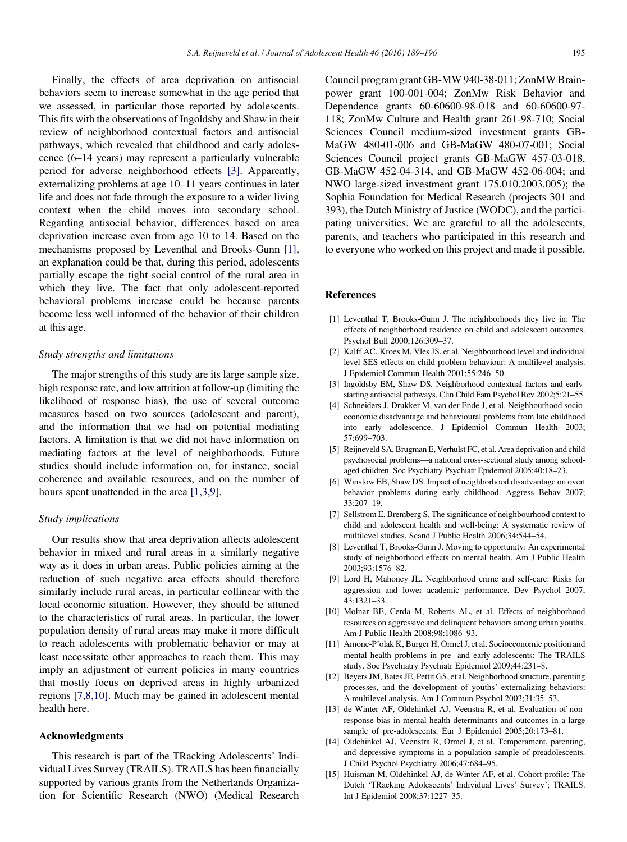<span id="page-6-0"></span>Finally, the effects of area deprivation on antisocial behaviors seem to increase somewhat in the age period that we assessed, in particular those reported by adolescents. This fits with the observations of Ingoldsby and Shaw in their review of neighborhood contextual factors and antisocial pathways, which revealed that childhood and early adolescence (6–14 years) may represent a particularly vulnerable period for adverse neighborhood effects [3]. Apparently, externalizing problems at age 10–11 years continues in later life and does not fade through the exposure to a wider living context when the child moves into secondary school. Regarding antisocial behavior, differences based on area deprivation increase even from age 10 to 14. Based on the mechanisms proposed by Leventhal and Brooks-Gunn [1], an explanation could be that, during this period, adolescents partially escape the tight social control of the rural area in which they live. The fact that only adolescent-reported behavioral problems increase could be because parents become less well informed of the behavior of their children at this age.

#### Study strengths and limitations

The major strengths of this study are its large sample size, high response rate, and low attrition at follow-up (limiting the likelihood of response bias), the use of several outcome measures based on two sources (adolescent and parent), and the information that we had on potential mediating factors. A limitation is that we did not have information on mediating factors at the level of neighborhoods. Future studies should include information on, for instance, social coherence and available resources, and on the number of hours spent unattended in the area [1,3,9].

#### Study implications

Our results show that area deprivation affects adolescent behavior in mixed and rural areas in a similarly negative way as it does in urban areas. Public policies aiming at the reduction of such negative area effects should therefore similarly include rural areas, in particular collinear with the local economic situation. However, they should be attuned to the characteristics of rural areas. In particular, the lower population density of rural areas may make it more difficult to reach adolescents with problematic behavior or may at least necessitate other approaches to reach them. This may imply an adjustment of current policies in many countries that mostly focus on deprived areas in highly urbanized regions [7,8,10]. Much may be gained in adolescent mental health here.

## Acknowledgments

This research is part of the TRacking Adolescents' Individual Lives Survey (TRAILS). TRAILS has been financially supported by various grants from the Netherlands Organization for Scientific Research (NWO) (Medical Research Council program grant GB-MW 940-38-011; ZonMW Brainpower grant 100-001-004; ZonMw Risk Behavior and Dependence grants 60-60600-98-018 and 60-60600-97- 118; ZonMw Culture and Health grant 261-98-710; Social Sciences Council medium-sized investment grants GB-MaGW 480-01-006 and GB-MaGW 480-07-001; Social Sciences Council project grants GB-MaGW 457-03-018, GB-MaGW 452-04-314, and GB-MaGW 452-06-004; and NWO large-sized investment grant 175.010.2003.005); the Sophia Foundation for Medical Research (projects 301 and 393), the Dutch Ministry of Justice (WODC), and the participating universities. We are grateful to all the adolescents, parents, and teachers who participated in this research and to everyone who worked on this project and made it possible.

#### **References**

- [1] Leventhal T, Brooks-Gunn J. The neighborhoods they live in: The effects of neighborhood residence on child and adolescent outcomes. Psychol Bull 2000;126:309–37.
- [2] Kalff AC, Kroes M, Vles JS, et al. Neighbourhood level and individual level SES effects on child problem behaviour: A multilevel analysis. J Epidemiol Commun Health 2001;55:246–50.
- [3] Ingoldsby EM, Shaw DS. Neighborhood contextual factors and earlystarting antisocial pathways. Clin Child Fam Psychol Rev 2002;5:21–55.
- [4] Schneiders J, Drukker M, van der Ende J, et al. Neighbourhood socioeconomic disadvantage and behavioural problems from late childhood into early adolescence. J Epidemiol Commun Health 2003; 57:699–703.
- [5] Reijneveld SA, Brugman E, Verhulst FC, et al. Area deprivation and child psychosocial problems—a national cross-sectional study among schoolaged children. Soc Psychiatry Psychiatr Epidemiol 2005;40:18–23.
- [6] Winslow EB, Shaw DS. Impact of neighborhood disadvantage on overt behavior problems during early childhood. Aggress Behav 2007; 33:207–19.
- [7] Sellstrom E, Bremberg S. The significance of neighbourhood context to child and adolescent health and well-being: A systematic review of multilevel studies. Scand J Public Health 2006;34:544–54.
- [8] Leventhal T, Brooks-Gunn J. Moving to opportunity: An experimental study of neighborhood effects on mental health. Am J Public Health 2003;93:1576–82.
- [9] Lord H, Mahoney JL. Neighborhood crime and self-care: Risks for aggression and lower academic performance. Dev Psychol 2007; 43:1321–33.
- [10] Molnar BE, Cerda M, Roberts AL, et al. Effects of neighborhood resources on aggressive and delinquent behaviors among urban youths. Am J Public Health 2008;98:1086–93.
- [11] Amone-P'olak K, Burger H, Ormel J, et al. Socioeconomic position and mental health problems in pre- and early-adolescents: The TRAILS study. Soc Psychiatry Psychiatr Epidemiol 2009;44:231–8.
- [12] Beyers JM, Bates JE, Pettit GS, et al. Neighborhood structure, parenting processes, and the development of youths' externalizing behaviors: A multilevel analysis. Am J Commun Psychol 2003;31:35–53.
- [13] de Winter AF, Oldehinkel AJ, Veenstra R, et al. Evaluation of nonresponse bias in mental health determinants and outcomes in a large sample of pre-adolescents. Eur J Epidemiol 2005;20:173–81.
- [14] Oldehinkel AJ, Veenstra R, Ormel J, et al. Temperament, parenting, and depressive symptoms in a population sample of preadolescents. J Child Psychol Psychiatry 2006;47:684–95.
- [15] Huisman M, Oldehinkel AJ, de Winter AF, et al. Cohort profile: The Dutch 'TRacking Adolescents' Individual Lives' Survey'; TRAILS. Int J Epidemiol 2008;37:1227–35.